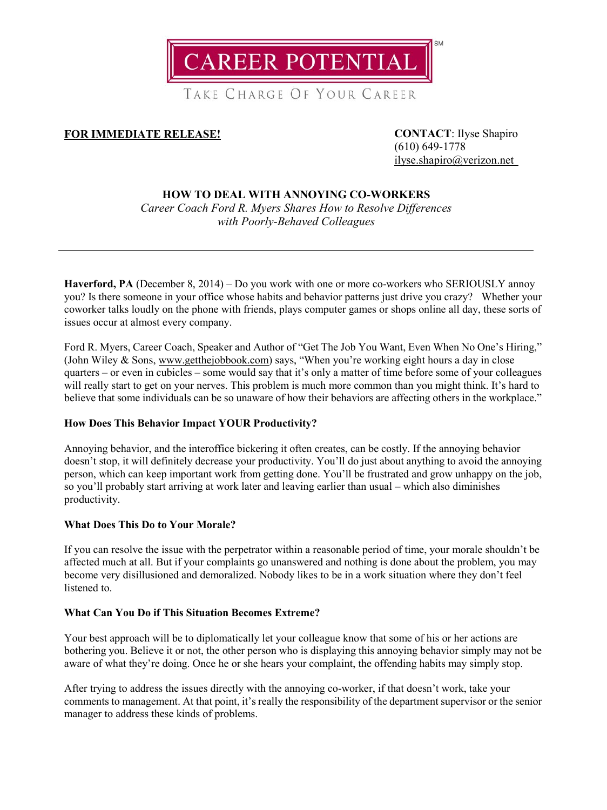**CAREER POTENTIAL** 

TAKE CHARGE OF YOUR CAREER

# **FOR IMMEDIATE RELEASE! CONTACT**: Ilyse Shapiro

(610) 649-1778 [ilyse.shapiro@verizon.net](mailto:ilyse.shapiro@verizon.net)

## **HOW TO DEAL WITH ANNOYING CO-WORKERS**

*Career Coach Ford R. Myers Shares How to Resolve Differences with Poorly-Behaved Colleagues*

**Haverford, PA** (December 8, 2014) – Do you work with one or more co-workers who SERIOUSLY annoy you? Is there someone in your office whose habits and behavior patterns just drive you crazy? Whether your coworker talks loudly on the phone with friends, plays computer games or shops online all day, these sorts of issues occur at almost every company.

Ford R. Myers, Career Coach, Speaker and Author of "Get The Job You Want, Even When No One's Hiring," (John Wiley & Sons, [www.getthejobbook.com\)](http://www.getthejobbook.com/) says, "When you're working eight hours a day in close quarters – or even in cubicles – some would say that it's only a matter of time before some of your colleagues will really start to get on your nerves. This problem is much more common than you might think. It's hard to believe that some individuals can be so unaware of how their behaviors are affecting others in the workplace."

## **How Does This Behavior Impact YOUR Productivity?**

Annoying behavior, and the interoffice bickering it often creates, can be costly. If the annoying behavior doesn't stop, it will definitely decrease your productivity. You'll do just about anything to avoid the annoying person, which can keep important work from getting done. You'll be frustrated and grow unhappy on the job, so you'll probably start arriving at work later and leaving earlier than usual – which also diminishes productivity.

## **What Does This Do to Your Morale?**

If you can resolve the issue with the perpetrator within a reasonable period of time, your morale shouldn't be affected much at all. But if your complaints go unanswered and nothing is done about the problem, you may become very disillusioned and demoralized. Nobody likes to be in a work situation where they don't feel listened to.

### **What Can You Do if This Situation Becomes Extreme?**

Your best approach will be to diplomatically let your colleague know that some of his or her actions are bothering you. Believe it or not, the other person who is displaying this annoying behavior simply may not be aware of what they're doing. Once he or she hears your complaint, the offending habits may simply stop.

After trying to address the issues directly with the annoying co-worker, if that doesn't work, take your comments to management. At that point, it's really the responsibility of the department supervisor or the senior manager to address these kinds of problems.